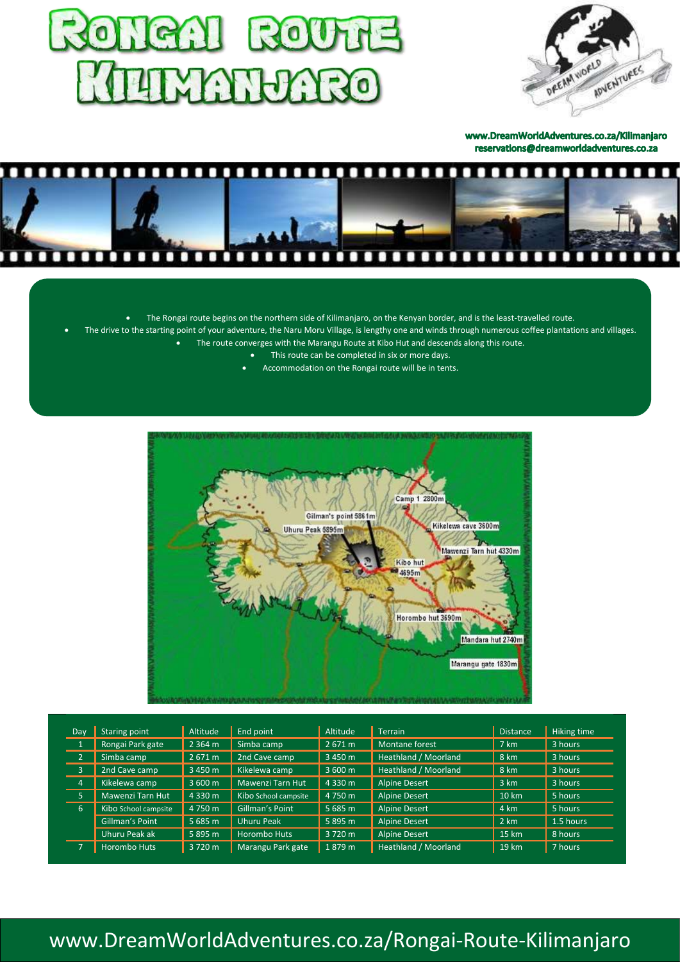



www.DreamWorldAdventures.co.za/Kilimanjaro reservations@dreamworldadventures.co.za



- The Rongai route begins on the northern side of Kilimanjaro, on the Kenyan border, and is the least-travelled route.
- The drive to the starting point of your adventure, the Naru Moru Village, is lengthy one and winds through numerous coffee plantations and villages.
	- The route converges with the Marangu Route at Kibo Hut and descends along this route.
		- This route can be completed in six or more days.
			- Accommodation on the Rongai route will be in tents.



| <b>Day</b>     | Staring point        | Altitude  | End point            | Altitude  | <b>Terrain</b>       | <b>Distance</b> | Hiking time |
|----------------|----------------------|-----------|----------------------|-----------|----------------------|-----------------|-------------|
|                | Rongai Park gate     | 2 3 6 4 m | Simba camp           | 2671 m    | Montane forest       | 7 km            | 3 hours     |
| $\overline{2}$ | Simba camp           | 2671 m    | 2nd Cave camp        | 3 450 m   | Heathland / Moorland | 8 km            | 3 hours     |
| $\overline{3}$ | 2nd Cave camp        | 3 450 m   | Kikelewa camp        | 3 600 m   | Heathland / Moorland | 8 km            | 3 hours     |
| $\overline{4}$ | Kikelewa camp        | 3 600 m   | Mawenzi Tarn Hut     | 4 3 3 0 m | <b>Alpine Desert</b> | 3 km            | 3 hours     |
| 5              | Mawenzi Tarn Hut     | 4 3 3 0 m | Kibo School campsite | 4 750 m   | <b>Alpine Desert</b> | 10 km           | 5 hours     |
| 6              | Kibo School campsite | 4 750 m   | Gillman's Point      | 5 685 m   | <b>Alpine Desert</b> | 4 km            | 5 hours     |
|                | Gillman's Point      | 5685 m    | Uhuru Peak           | 5895 m    | <b>Alpine Desert</b> | 2 km            | 1.5 hours   |
|                | Uhuru Peak ak        | 5895 m    | <b>Horombo Huts</b>  | 3 720 m   | <b>Alpine Desert</b> | 15 km           | 8 hours     |
|                | <b>Horombo Huts</b>  | 3 720 m   | Marangu Park gate    | 1879 m    | Heathland / Moorland | 19 km           | 7 hours     |

# [www.DreamWorldAdventures.co.za/Rongai-Route-Kilimanjaro](http://www.dreamworldadventures.co.za/Rongai-Route-Kilimanjaro)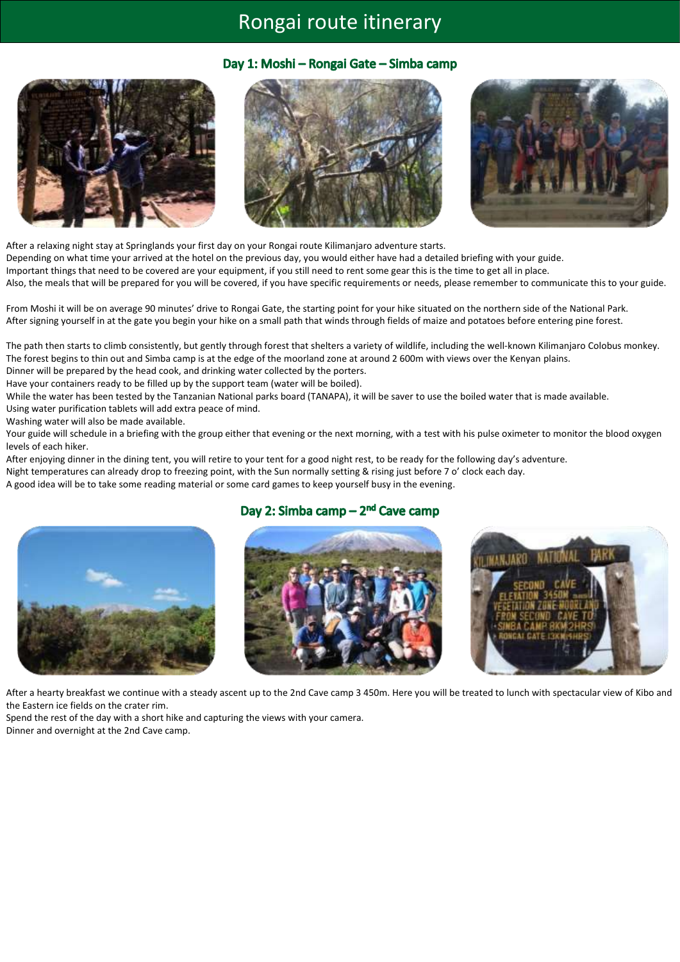## Rongai [route itinerary](https://dreamworldadventures.co.za/rongai-route-kilimanjaro/)

#### Day 1: Moshi - Rongai Gate - Simba camp







After a relaxing night stay at Springlands your first day on your Rongai route Kilimanjaro adventure starts. Depending on what time your arrived at the hotel on the previous day, you would either have had a detailed briefing with your guide. Important things that need to be covered are your equipment, if you still need to rent some gear this is the time to get all in place. Also, the meals that will be prepared for you will be covered, if you have specific requirements or needs, please remember to communicate this to your guide.

From Moshi it will be on average 90 minutes' drive to Rongai Gate, the starting point for your hike situated on the northern side of the National Park. After signing yourself in at the gate you begin your hike on a small path that winds through fields of maize and potatoes before entering pine forest.

The path then starts to climb consistently, but gently through forest that shelters a variety of wildlife, including the well-known Kilimanjaro Colobus monkey. The forest begins to thin out and Simba camp is at the edge of the moorland zone at around 2 600m with views over the Kenyan plains. Dinner will be prepared by the head cook, and drinking water collected by the porters.

Have your containers ready to be filled up by the support team (water will be boiled).

While the water has been tested by the Tanzanian National parks board (TANAPA), it will be saver to use the boiled water that is made available. Using water purification tablets will add extra peace of mind.

Washing water will also be made available.

Your guide will schedule in a briefing with the group either that evening or the next morning, with a test with his pulse oximeter to monitor the blood oxygen levels of each hiker.

After enjoying dinner in the dining tent, you will retire to your tent for a good night rest, to be ready for the following day's adventure.

Night temperatures can already drop to freezing point, with the Sun normally setting & rising just before 7 o' clock each day.

A good idea will be to take some reading material or some card games to keep yourself busy in the evening.

### Day 2: Simba camp - 2<sup>nd</sup> Cave camp







After a hearty breakfast we continue with a steady ascent up to the 2nd Cave camp 3 450m. Here you will be treated to lunch with spectacular view of Kibo and the Eastern ice fields on the crater rim.

Spend the rest of the day with a short hike and capturing the views with your camera. Dinner and overnight at the 2nd Cave camp.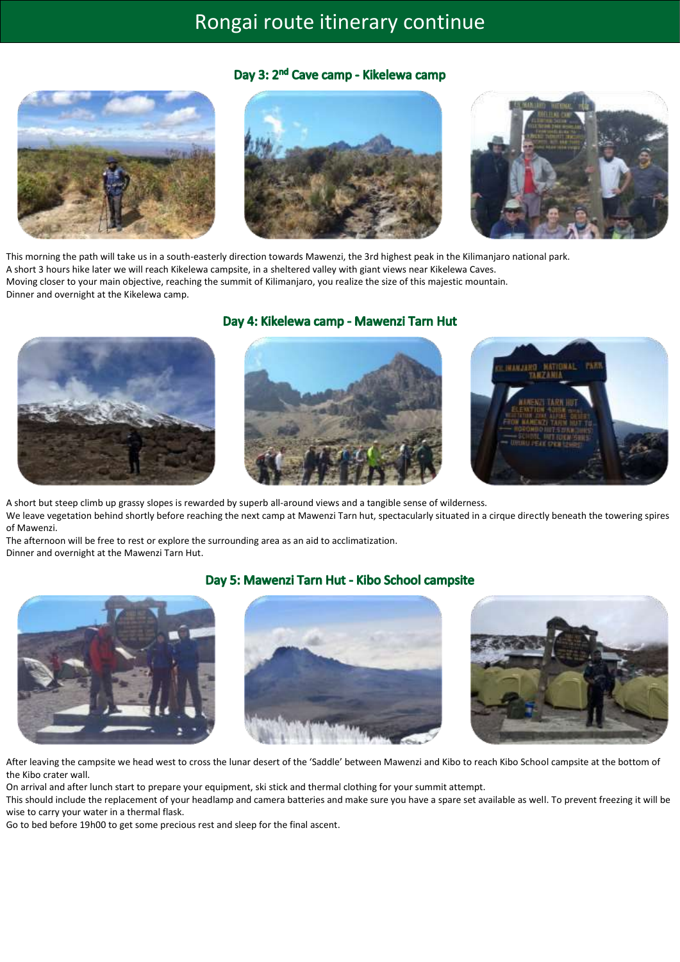# Rongai [route itinerary continue](https://dreamworldadventures.co.za/rongai-route-kilimanjaro/)

### Day 3: 2<sup>nd</sup> Cave camp - Kikelewa camp







This morning the path will take us in a south-easterly direction towards Mawenzi, the 3rd highest peak in the Kilimanjaro national park. A short 3 hours hike later we will reach Kikelewa campsite, in a sheltered valley with giant views near Kikelewa Caves. Moving closer to your main objective, reaching the summit of Kilimanjaro, you realize the size of this majestic mountain. Dinner and overnight at the Kikelewa camp.



#### Day 4: Kikelewa camp - Mawenzi Tarn Hut





A short but steep climb up grassy slopes is rewarded by superb all-around views and a tangible sense of wilderness. We leave vegetation behind shortly before reaching the next camp at Mawenzi Tarn hut, spectacularly situated in a cirque directly beneath the towering spires of Mawenzi.

The afternoon will be free to rest or explore the surrounding area as an aid to acclimatization. Dinner and overnight at the Mawenzi Tarn Hut.

#### Day 5: Mawenzi Tarn Hut - Kibo School campsite







After leaving the campsite we head west to cross the lunar desert of the 'Saddle' between Mawenzi and Kibo to reach Kibo School campsite at the bottom of the Kibo crater wall.

On arrival and after lunch start to prepare your equipment, ski stick and thermal clothing for your summit attempt.

This should include the replacement of your headlamp and camera batteries and make sure you have a spare set available as well. To prevent freezing it will be wise to carry your water in a thermal flask.

Go to bed before 19h00 to get some precious rest and sleep for the final ascent.